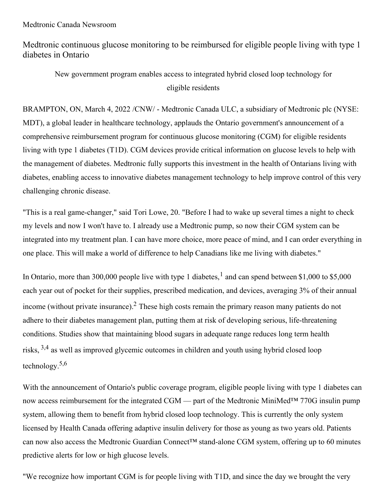Medtronic Canada Newsroom

Medtronic continuous glucose monitoring to be reimbursed for eligible people living with type 1 diabetes in Ontario

New government program enables access to integrated hybrid closed loop technology for eligible residents

BRAMPTON, ON, March 4, 2022 /CNW/ - Medtronic Canada ULC, a subsidiary of Medtronic plc (NYSE: MDT), a global leader in healthcare technology, applauds the Ontario government's announcement of a comprehensive reimbursement program for continuous glucose monitoring (CGM) for eligible residents living with type 1 diabetes (T1D). CGM devices provide critical information on glucose levels to help with the management of diabetes. Medtronic fully supports this investment in the health of Ontarians living with diabetes, enabling access to innovative diabetes management technology to help improve control of this very challenging chronic disease.

"This is a real game-changer," said Tori Lowe, 20. "Before I had to wake up several times a night to check my levels and now I won't have to. I already use a Medtronic pump, so now their CGM system can be integrated into my treatment plan. I can have more choice, more peace of mind, and I can order everything in one place. This will make a world of difference to help Canadians like me living with diabetes."

In Ontario, more than 300,000 people live with type 1 diabetes,  $\frac{1}{2}$  and can spend between \$1,000 to \$5,000 each year out of pocket for their supplies, prescribed medication, and devices, averaging 3% of their annual income (without private insurance).<sup>2</sup> These high costs remain the primary reason many patients do not adhere to their diabetes management plan, putting them at risk of developing serious, life-threatening conditions. Studies show that maintaining blood sugars in adequate range reduces long term health risks,  $3,4$  as well as improved glycemic outcomes in children and youth using hybrid closed loop technology. 5,6

With the announcement of Ontario's public coverage program, eligible people living with type 1 diabetes can now access reimbursement for the integrated CGM — part of the Medtronic MiniMed™ 770G insulin pump system, allowing them to benefit from hybrid closed loop technology. This is currently the only system licensed by Health Canada offering adaptive insulin delivery for those as young as two years old. Patients can now also access the Medtronic Guardian Connect™ stand-alone CGM system, offering up to 60 minutes predictive alerts for low or high glucose levels.

"We recognize how important CGM is for people living with T1D, and since the day we brought the very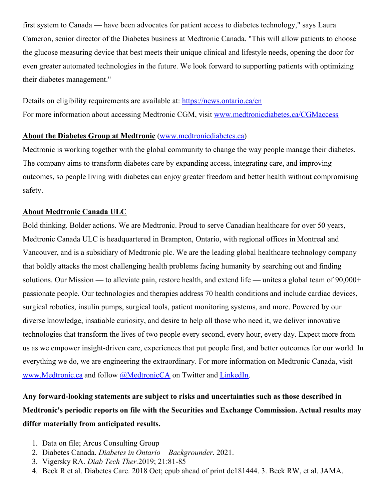first system to Canada — have been advocates for patient access to diabetes technology," says Laura Cameron, senior director of the Diabetes business at Medtronic Canada. "This will allow patients to choose the glucose measuring device that best meets their unique clinical and lifestyle needs, opening the door for even greater automated technologies in the future. We look forward to supporting patients with optimizing their diabetes management."

Details on eligibility requirements are available at: [https://news.ontario.ca/en](https://c212.net/c/link/?t=0&l=en&o=3455106-1&h=881988400&u=https%3A%2F%2Fnews.ontario.ca%2Fen&a=https%3A%2F%2Fnews.ontario.ca%2Fen) For more information about accessing Medtronic CGM, visit [www.medtronicdiabetes.ca/CGMaccess](https://c212.net/c/link/?t=0&l=en&o=3455106-1&h=3980725617&u=https%3A%2F%2Fnam11.safelinks.protection.outlook.com%2F%3Furl%3Dhttp%253A%252F%252Fwww.medtronicdiabetes.ca%252FCGMaccess%26data%3D04%257C01%257Ccnwtor%2540newswire.ca%257C31acdbee8d8b48ec421708d9f7e8589a%257C887bf9ee3c824b88bcb280d5e169b99b%257C1%257C0%257C637813400493272305%257CUnknown%257CTWFpbGZsb3d8eyJWIjoiMC4wLjAwMDAiLCJQIjoiV2luMzIiLCJBTiI6Ik1haWwiLCJXVCI6Mn0%253D%257C3000%26sdata%3D0dAvi%252Fb87xVHttX2AA8j3qMHeRcVzKAfbWJ6UJvA8P4%253D%26reserved%3D0&a=www.medtronicdiabetes.ca%2FCGMaccess)

## **About the Diabetes Group at Medtronic** [\(www.medtronicdiabetes.ca](https://c212.net/c/link/?t=0&l=en&o=3455106-1&h=452358433&u=http%3A%2F%2Fwww.medtronicdiabetes.ca%2F&a=www.medtronicdiabetes.ca))

Medtronic is working together with the global community to change the way people manage their diabetes. The company aims to transform diabetes care by expanding access, integrating care, and improving outcomes, so people living with diabetes can enjoy greater freedom and better health without compromising safety.

## **About Medtronic Canada ULC**

Bold thinking. Bolder actions. We are Medtronic. Proud to serve Canadian healthcare for over 50 years, Medtronic Canada ULC is headquartered in Brampton, Ontario, with regional offices in Montreal and Vancouver, and is a subsidiary of Medtronic plc. We are the leading global healthcare technology company that boldly attacks the most challenging health problems facing humanity by searching out and finding solutions. Our Mission — to alleviate pain, restore health, and extend life — unites a global team of 90,000+ passionate people. Our technologies and therapies address 70 health conditions and include cardiac devices, surgical robotics, insulin pumps, surgical tools, patient monitoring systems, and more. Powered by our diverse knowledge, insatiable curiosity, and desire to help all those who need it, we deliver innovative technologies that transform the lives of two people every second, every hour, every day. Expect more from us as we empower insight-driven care, experiences that put people first, and better outcomes for our world. In everything we do, we are engineering the extraordinary. For more information on Medtronic Canada, visit [www.Medtronic.ca](https://c212.net/c/link/?t=0&l=en&o=3455106-1&h=3817367747&u=https%3A%2F%2Fwww.medtronic.com%2Fca-en%2Findex.html&a=www.Medtronic.ca) and follow [@MedtronicCA](https://c212.net/c/link/?t=0&l=en&o=3455106-1&h=3376361859&u=https%3A%2F%2Ftwitter.com%2FMedtronicCA&a=%40MedtronicCA) on Twitter and [LinkedIn](https://c212.net/c/link/?t=0&l=en&o=3455106-1&h=3095381689&u=https%3A%2F%2Fca.linkedin.com%2Fshowcase%2Fmedtronic-canada&a=LinkedIn).

## **Any forward-looking statements are subject to risks and uncertainties such as those described in Medtronic's periodic reports on file with the Securities and Exchange Commission. Actual results may differ materially from anticipated results.**

- 1. Data on file; Arcus Consulting Group
- 2. Diabetes Canada. *Diabetes in Ontario – Backgrounder.* 2021.
- 3. Vigersky RA. *Diab Tech Ther.*2019; 21:81-85
- 4. Beck R et al. Diabetes Care. 2018 Oct; epub ahead of print dc181444. 3. Beck RW, et al. JAMA.